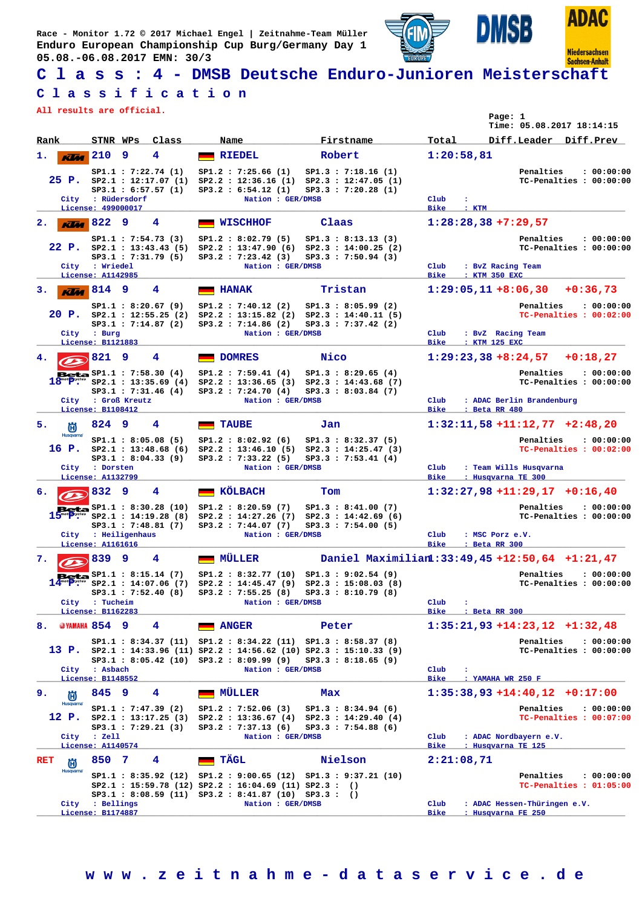**Race - Monitor 1.72 © 2017 Michael Engel | Zeitnahme-Team Müller Enduro European Championship Cup Burg/Germany Day 1 05.08.-06.08.2017 EMN: 30/3**





**Niedersachsen Sachsen-Anhalt** 

**SB** 

## **C l a s s : 4 - DMSB Deutsche Enduro-Junioren Meisterschaft**

## **C l a s s i f i c a t i o n**

**All results are official.**

| All results are official.                          |                                                   |                                                                                            |                                                                                                                                    |                                                                                                                                                                   |                                                         | Page: 1<br>Time: 05.08.2017 18:14:15                                                                          |
|----------------------------------------------------|---------------------------------------------------|--------------------------------------------------------------------------------------------|------------------------------------------------------------------------------------------------------------------------------------|-------------------------------------------------------------------------------------------------------------------------------------------------------------------|---------------------------------------------------------|---------------------------------------------------------------------------------------------------------------|
| Rank                                               | STNR WPs                                          | Class                                                                                      | Name                                                                                                                               | Firstname                                                                                                                                                         | Total                                                   | Diff.Leader Diff.Prev                                                                                         |
| ı.<br><b>Klas</b>                                  | 210<br>9                                          | 4                                                                                          | <b>RIEDEL</b>                                                                                                                      | Robert                                                                                                                                                            | 1:20:58,81                                              |                                                                                                               |
| City                                               | : Rüdersdorf                                      | SP1.1: 7:22.74 (1)<br>$25$ P. $SP2.1$ : 12:17.07 (1)<br>SP3.1 : 6:57.57(1)                 | SP1.2 : 7:25.66(1)<br>SP3.2 : 6:54.12 (1)<br>Nation : GER/DMSB                                                                     | SP1.3 : 7:18.16(1)<br>SP2.2: 12:36.16 (1) SP2.3: 12:47.05 (1)<br>SP3.3 : 7:20.28(1)                                                                               | Club<br>÷                                               | Penalties<br>: 00:00:00<br>TC-Penalties : 00:00:00                                                            |
| 2.                                                 | License: 499000017<br>$K$ $M$ 822<br>9            | 4                                                                                          | <b>WISCHHOF</b>                                                                                                                    | Claas                                                                                                                                                             | Bike<br>: KTM                                           | $1:28:28,38 + 7:29,57$                                                                                        |
| 22 P.<br>City                                      | : Wriedel                                         | SP1.1 : 7:54.73(3)<br>SP3.1 : 7:31.79 (5)                                                  | SP1.2 : 8:02.79 (5)<br>SP3.2 : 7:23.42(3)<br>Nation : GER/DMSB                                                                     | SP1.3 : 8:13.13 (3)<br>SP2.1: 13:43.43 (5) SP2.2: 13:47.90 (6) SP2.3: 14:00.25 (2)<br>SP3.3 : 7:50.94(3)                                                          | $_{\rm Club}$                                           | Penalties<br>: 00:00:00<br>TC-Penalties : 00:00:00<br>: BvZ Racing Team                                       |
|                                                    | License: A1142985                                 |                                                                                            |                                                                                                                                    |                                                                                                                                                                   | <b>Bike</b>                                             | : KTM 350 EXC                                                                                                 |
| з.<br>rīm<br>20 P.                                 | 814<br>-9<br>City : Burg                          | 4<br>SP1.1 : 8:20.67(9)<br>SP2.1 : 12:55.25(2)<br>SP3.1 : 7:14.87 (2)                      | <b>HANAK</b><br>SP1.2 : 7:40.12 (2)<br>SP3.2 : 7:14.86 (2)<br>Nation : GER/DMSB                                                    | Tristan<br>SP1.3 : 8:05.99(2)<br>$SP2.2 : 13:15.82 (2) SP2.3 : 14:40.11 (5)$<br>SP3.3 : 7:37.42 (2)                                                               | $_{\rm Club}$                                           | $1:29:05,11+8:06,30$<br>$+0:36,73$<br>Penalties<br>: 00:00:00<br>TC-Penalties : 00:02:00<br>: BvZ Racing Team |
| 4.                                                 | License: B1121883<br>821<br>9                     | 4                                                                                          | <b>DOMRES</b>                                                                                                                      | Nico                                                                                                                                                              | <b>Bike</b>                                             | : KTM 125 EXC<br>$1:29:23,38+8:24,57$<br>$+0:18,27$                                                           |
| City                                               | <b>Beta</b> $SP1.1 : 7:58.30(4)$<br>: Groß Kreutz | $18^{\circ\circ}$ $P^{\prime\circ\circ\circ}$ $SP2.1$ : 13:35.69 (4)<br>SP3.1 : 7:31.46(4) | SP1.2 : 7:59.41 (4)<br>SP3.2 : 7:24.70 (4)<br>Nation : GER/DMSB                                                                    | SP1.3 : 8:29.65(4)<br>$SP2.2 : 13:36.65 (3) SP2.3 : 14:43.68 (7)$<br>SP3.3 : 8:03.84 (7)                                                                          | $_{\rm Club}$                                           | Penalties<br>: 00:00:00<br>TC-Penalties : 00:00:00<br>: ADAC Berlin Brandenburg                               |
|                                                    | License: B1108412<br>824 9                        | 4                                                                                          |                                                                                                                                    | Jan                                                                                                                                                               | <b>Bike</b>                                             | : Beta RR 480<br>$1:32:11,58$ +11:12,77 +2:48,20                                                              |
| 5.<br>尚<br>Husqvarna <sup>®</sup><br>16 P.<br>City | : Dorsten                                         | SP1.1 : 8:05.08(5)<br>SP3.1 : 8:04.33(9)                                                   | <b>TAUBE</b><br>SP1.2 : 8:02.92(6)<br>SP3.2 : 7:33.22 (5)<br>Nation : GER/DMSB                                                     | SP1.3 : 8:32.37 (5)<br>SP2.1: 13:48.68 (6) SP2.2: 13:46.10 (5) SP2.3: 14:25.47 (3)<br>SP3.3 : 7:53.41(4)                                                          | Club                                                    | Penalties<br>: 00:00:00<br>TC-Penalties : 00:02:00<br>: Team Wills Husqvarna                                  |
|                                                    | License: A1132799                                 |                                                                                            |                                                                                                                                    |                                                                                                                                                                   | <b>Bike</b>                                             | : Husqvarna TE 300                                                                                            |
| 6.                                                 | 832<br>9                                          | 4                                                                                          | KÖLBACH                                                                                                                            | Tom                                                                                                                                                               |                                                         | $1:32:27,98$ +11:29,17 +0:16,40                                                                               |
|                                                    | City : Heiligenhaus<br>License: A1161616          | SP3.1 : 7:48.81 (7)                                                                        | <b>Beta</b> $SP1.1 : 8:30.28 (10) SP1.2 : 8:20.59 (7)$<br>SP3.2 : 7:44.07(7)<br>Nation : GER/DMSB                                  | SP1.3 : 8:41.00(7)<br>$15^{'''}T^{''''''}$ SP2.1 : 14:19.28 (8) SP2.2 : 14:27.26 (7) SP2.3 : 14:42.69 (6)<br>SP3.3 : 7:54.00(5)                                   | Club<br><b>Bike</b>                                     | Penalties<br>: 00:00:00<br>TC-Penalties : 00:00:00<br>: MSC Porz e.V.<br>: Beta RR 300                        |
| 7.                                                 | 839<br>9                                          | 4                                                                                          | <b>MÜLLER</b>                                                                                                                      |                                                                                                                                                                   |                                                         | Daniel Maximilian1:33:49,45 +12:50,64 +1:21,47                                                                |
|                                                    | City : Tucheim<br>License: B1162283               | $Beta \sim 1.1 : 8:15.14 (7)$                                                              | Nation : GER/DMSB                                                                                                                  | SP1.2: 8:32.77 (10) SP1.3: 9:02.54 (9)<br>SP2.1: 14:07.06 (7) SP2.2: 14:45.47 (9) SP2.3: 15:08.03 (8)<br>SP3.1: 7:52.40 (8) SP3.2: 7:55.25 (8) SP3.3: 8:10.79 (8) | $_{\text{Club}}$<br>$\ddot{\phantom{a}}$<br><b>Bike</b> | Penalties<br>: 00:00:00<br>TC-Penalties : 00:00:00<br>: Beta RR 300                                           |
| 8.                                                 | <b>@YAMAHA 854 9</b>                              | 4                                                                                          | <b>ANGER</b>                                                                                                                       | Peter                                                                                                                                                             |                                                         | $1:35:21,93+14:23,12+1:32,48$                                                                                 |
| City                                               | : Asbach                                          |                                                                                            | $SP3.1 : 8:05.42 (10) SP3.2 : 8:09.99 (9)$<br>Nation : GER/DMSB                                                                    | SP1.1: 8:34.37 (11) SP1.2: 8:34.22 (11) SP1.3: 8:58.37 (8)<br>13 P. SP2.1 : 14:33.96 (11) SP2.2 : 14:56.62 (10) SP2.3 : 15:10.33 (9)<br>SP3.3 : 8:18.65 (9)       | $_{\rm Club}$<br>$\ddot{\phantom{a}}$                   | Penalties<br>: 00:00:00<br>TC-Penalties : 00:00:00                                                            |
|                                                    | License: B1148552                                 |                                                                                            |                                                                                                                                    |                                                                                                                                                                   | <b>Bike</b>                                             | : YAMAHA WR 250 F                                                                                             |
| 9.<br>尚<br><b>Husqvarna</b>                        | 845<br>9                                          | 4<br>SP1.1 : 7:47.39 (2)                                                                   | MÜLLER<br>SP1.2 : 7:52.06 (3)                                                                                                      | Max<br>SP1.3 : 8:34.94(6)                                                                                                                                         |                                                         | $1:35:38.93 + 14:40.12 + 0:17:00$<br>Penalties<br>: 00:00:00                                                  |
| 12 P.<br>City                                      | $:$ Zell<br>License: A1140574                     | SP3.1 : 7:29.21 (3)                                                                        | SP3.2 : 7:37.13 (6)<br>Nation : GER/DMSB                                                                                           | $SP2.1$ : 13:17.25 (3) $SP2.2$ : 13:36.67 (4) $SP2.3$ : 14:29.40 (4)<br>SP3.3 : 7:54.88(6)                                                                        | $_{\rm Club}$<br>Bike                                   | TC-Penalties : 00:07:00<br>: ADAC Nordbayern e.V.<br>: Husqvarna TE 125                                       |
| RET<br>尚                                           | 850<br>-7                                         | 4                                                                                          | TÄGL                                                                                                                               | Nielson                                                                                                                                                           | 2:21:08,71                                              |                                                                                                               |
| <b>Husqvarna</b>                                   | City : Bellings<br>License: B1174887              |                                                                                            | $SP2.1 : 15:59.78 (12) SP2.2 : 16:04.69 (11) SP2.3 : ()$<br>SP3.1: 8:08.59 (11) SP3.2: 8:41.87 (10) SP3.3: ()<br>Nation : GER/DMSB | SP1.1: 8:35.92 (12) SP1.2: 9:00.65 (12) SP1.3: 9:37.21 (10)                                                                                                       | $_{\rm Club}$<br>Bike                                   | Penalties<br>: 00:00:00<br>TC-Penalties : 01:05:00<br>: ADAC Hessen-Thüringen e.V.<br>: Husqvarna FE 250      |